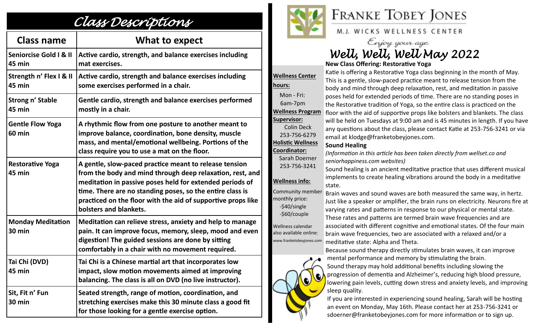## *Class Descriptions*

| <b>Class name</b>                           | What to expect                                                                                                                                                                                                                                                                                                                         |
|---------------------------------------------|----------------------------------------------------------------------------------------------------------------------------------------------------------------------------------------------------------------------------------------------------------------------------------------------------------------------------------------|
| <b>Seniorcise Gold I &amp; II</b><br>45 min | Active cardio, strength, and balance exercises including<br>mat exercises.                                                                                                                                                                                                                                                             |
| Strength n' Flex I & II<br>45 min           | Active cardio, strength and balance exercises including<br>some exercises performed in a chair.                                                                                                                                                                                                                                        |
| Strong n' Stable<br>45 min                  | Gentle cardio, strength and balance exercises performed<br>mostly in a chair.                                                                                                                                                                                                                                                          |
| <b>Gentle Flow Yoga</b><br><b>60 min</b>    | A rhythmic flow from one posture to another meant to<br>improve balance, coordination, bone density, muscle<br>mass, and mental/emotional wellbeing. Portions of the<br>class require you to use a mat on the floor.                                                                                                                   |
| <b>Restorative Yoga</b><br>45 min           | A gentle, slow-paced practice meant to release tension<br>from the body and mind through deep relaxation, rest, and<br>meditation in passive poses held for extended periods of<br>time. There are no standing poses, so the entire class is<br>practiced on the floor with the aid of supportive props like<br>bolsters and blankets. |
| <b>Monday Meditation</b><br>30 min          | Meditation can relieve stress, anxiety and help to manage<br>pain. It can improve focus, memory, sleep, mood and even<br>digestion! The guided sessions are done by sitting<br>comfortably in a chair with no movement required.                                                                                                       |
| Tai Chi (DVD)<br>45 min                     | Tai Chi is a Chinese martial art that incorporates low<br>impact, slow motion movements aimed at improving<br>balancing. The class is all on DVD (no live instructor).                                                                                                                                                                 |
| Sit, Fit n' Fun<br><b>30 min</b>            | Seated strength, range of motion, coordination, and<br>stretching exercises make this 30 minute class a good fit<br>for those looking for a gentle exercise option.                                                                                                                                                                    |



## **FRANKE TOBEY JONES**

M.J. WICKS WELLNESS CENTER

Enjoy your age *Well, Well, Well May 2022*

**New Class Offering: Restorative Yoga**

**Wellness Center hours:**  Mon - Fri: 6am-7pm **Wellness Program Supervisor:** Colin Deck 253-756-6279 **Holistic Wellness Coordinator:** Sarah Doerner 253-756-3241 **Wellness info:** Community member monthly price: -\$40/single -\$60/couple

Wellness calendar also available online: www.franketobeyjones.com



Katie is offering a Restorative Yoga class beginning in the month of May. This is a gentle, slow-paced practice meant to release tension from the body and mind through deep relaxation, rest, and meditation in passive poses held for extended periods of time. There are no standing poses in the Restorative tradition of Yoga, so the entire class is practiced on the floor with the aid of supportive props like bolsters and blankets. The class will be held on Tuesdays at 9:00 am and is 45 minutes in length. If you have any questions about the class, please contact Katie at 253-756-3241 or via email at klodge@franketobeyjones.com.

## **Sound Healing**

*(Information in this article has been taken directly from wellset.co and seniorhappiness.com websites)*

Sound healing is an ancient meditative practice that uses different musical implements to create healing vibrations around the body in a meditative state.

Brain waves and sound waves are both measured the same way, in hertz. Just like a speaker or amplifier, the brain runs on electricity. Neurons fire at varying rates and patterns in response to our physical or mental state. These rates and patterns are termed brain wave frequencies and are associated with different cognitive and emotional states. Of the four main brain wave frequencies, two are associated with a relaxed and/or a meditative state: Alpha and Theta.

Because sound therapy directly stimulates brain waves, it can improve mental performance and memory by stimulating the brain. Sound therapy may hold additional benefits including slowing the progression of dementia and Alzheimer's, reducing high blood pressure, lowering pain levels, cutting down stress and anxiety levels, and improving sleep quality.

If you are interested in experiencing sound healing, Sarah will be hosting an event on Monday, May 16th. Please contact her at 253-756-3241 or sdoerner@franketobeyjones.com for more information or to sign up.